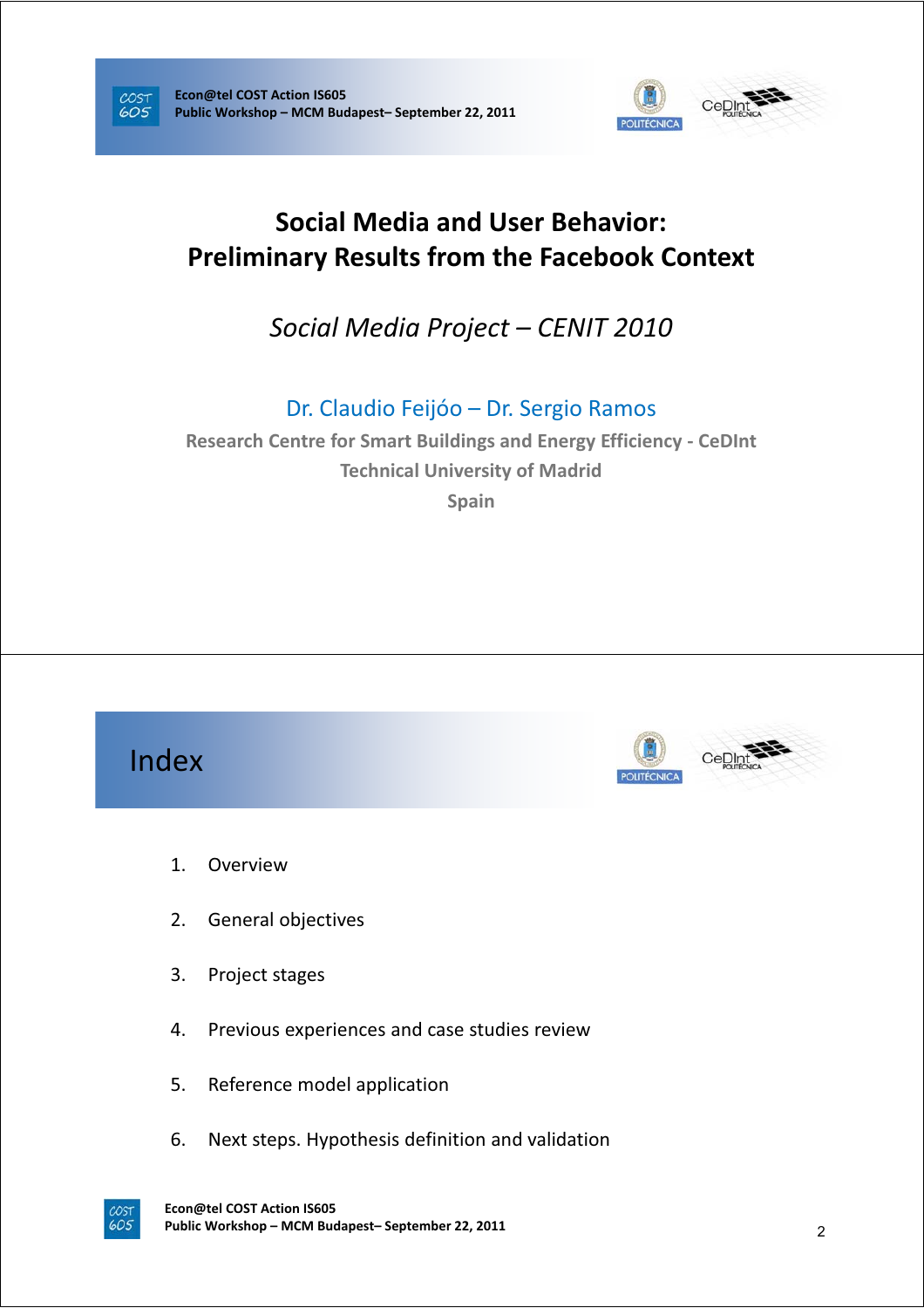



## **Social Media and User Behavior: Preliminary Results from the Facebook Context**

*Social Media Project – CENIT 2010*

Dr. Claudio Feijóo – Dr. Sergio Ramos

**Research Centre for Smart Buildings and Energy Efficiency - CeDInt Technical University of Madrid Spain**

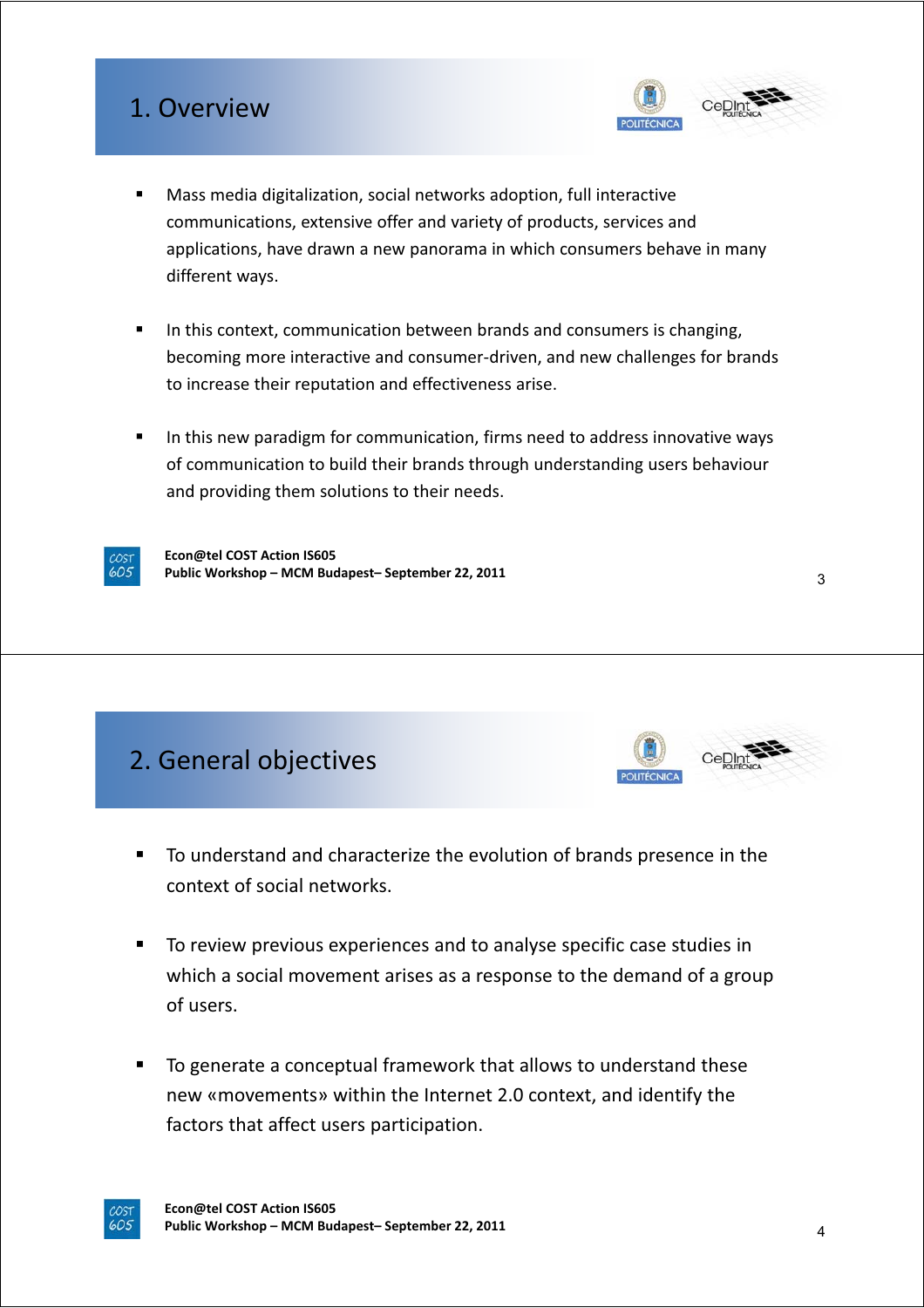### 1. Overview



- Mass media digitalization, social networks adoption, full interactive communications, extensive offer and variety of products, services and applications, have drawn a new panorama in which consumers behave in many different ways.
- In this context, communication between brands and consumers is changing, becoming more interactive and consumer-driven, and new challenges for brands to increase their reputation and effectiveness arise.
- In this new paradigm for communication, firms need to address innovative ways of communication to build their brands through understanding users behaviour and providing them solutions to their needs.



**Econ@tel COST Action IS605 Public Workshop – MCM Budapest– September 22, 2011**

# 2. General objectives



3

- To understand and characterize the evolution of brands presence in the context of social networks.
- To review previous experiences and to analyse specific case studies in which a social movement arises as a response to the demand of a group of users.
- To generate a conceptual framework that allows to understand these new «movements» within the Internet 2.0 context, and identify the factors that affect users participation.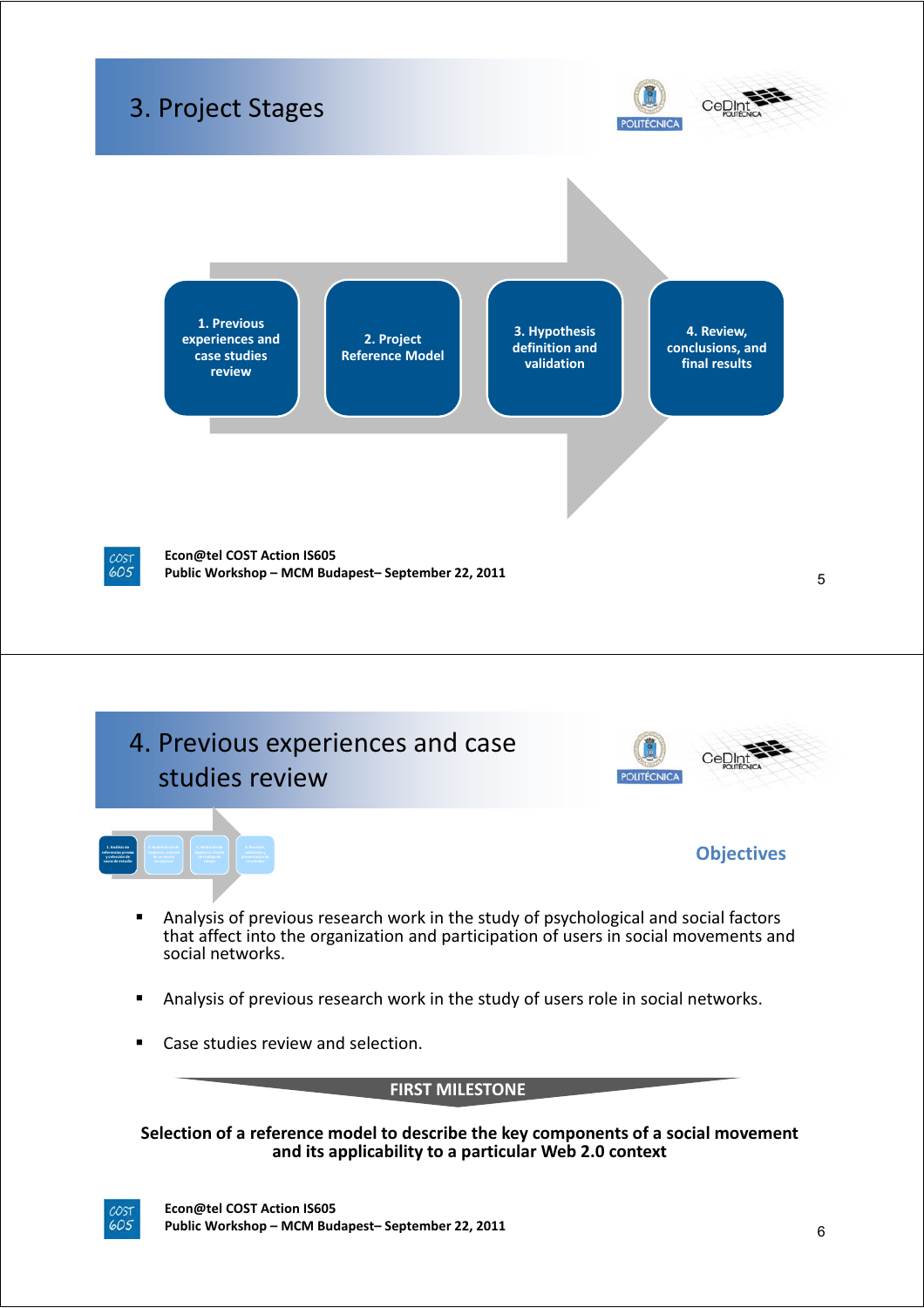



- Analysis of previous research work in the study of psychological and social factors that affect into the organization and participation of users in social movements and social networks.
- Analysis of previous research work in the study of users role in social networks.
- Case studies review and selection.

COST<br>605

**FIRST MILESTONE**

**Selection of a reference model to describe the key components of a social movement and its applicability to a particular Web 2.0 context**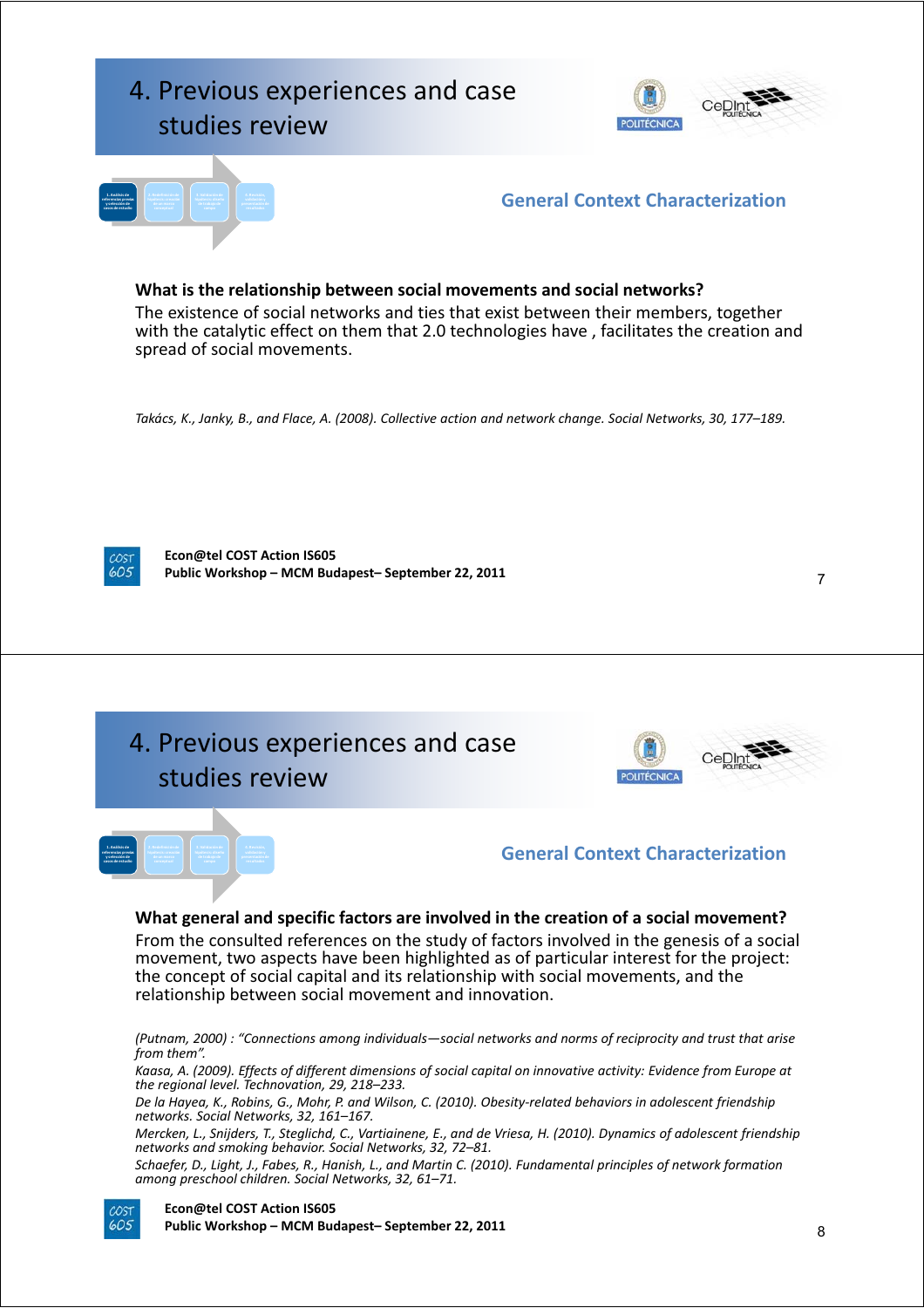

#### **What is the relationship between social movements and social networks?**

The existence of social networks and ties that exist between their members, together with the catalytic effect on them that 2.0 technologies have , facilitates the creation and spread of social movements.

Takács, K., Janky, B., and Flace, A. (2008). Collective action and network change. Social Networks, 30, 177-189.

**Econ@tel COST Action IS605 Public Workshop – MCM Budapest– September 22, 2011** 7

4. Previous experiences and case studies review





### **General Context Characterization**

#### **What general and specific factors are involved in the creation of a social movement?**

From the consulted references on the study of factors involved in the genesis of a social movement, two aspects have been highlighted as of particular interest for the project: the concept of social capital and its relationship with social movements, and the relationship between social movement and innovation.

*(Putnam, 2000) : "Connections among individuals—social networks and norms of reciprocity and trust that arise from them".*

Kaasa, A. (2009). Effects of different dimensions of social capital on innovative activity: Evidence from Europe at *the regional level. Technovation, 29, 218–233.*

De la Hayea, K., Robins, G., Mohr, P. and Wilson, C. (2010). Obesity-related behaviors in adolescent friendship *networks. Social Networks, 32, 161–167.*

Mercken, L., Snijders, T., Steglichd, C., Vartiainene, E., and de Vriesa, H. (2010). Dynamics of adolescent friendship *networks and smoking behavior. Social Networks, 32, 72–81.*

Schaefer, D., Light, J., Fabes, R., Hanish, L., and Martin C. (2010). Fundamental principles of network formation *among preschool children. Social Networks, 32, 61–71.*

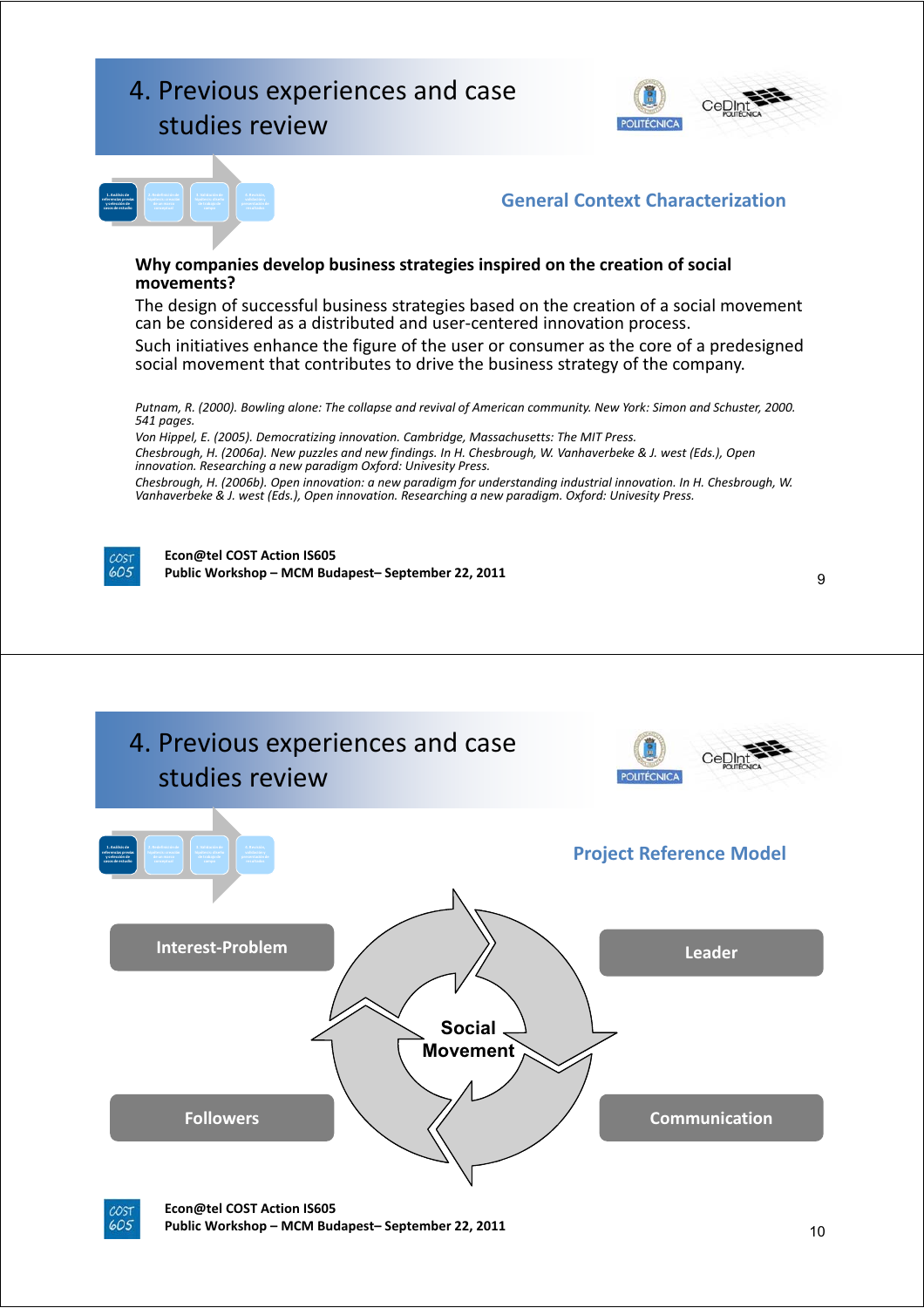## 4. Previous experiences and case studies review





### **General Context Characterization**

#### **Why companies develop business strategies inspired on the creation of social movements?**

The design of successful business strategies based on the creation of a social movement can be considered as a distributed and user-centered innovation process. Such initiatives enhance the figure of the user or consumer as the core of a predesigned social movement that contributes to drive the business strategy of the company.

Putnam, R. (2000). Bowling alone: The collapse and revival of American community. New York: Simon and Schuster, 2000. *541 pages.*

*Von Hippel, E. (2005). Democratizing innovation. Cambridge, Massachusetts: The MIT Press.* Chesbrough, H. (2006a). New puzzles and new findings. In H. Chesbrough, W. Vanhaverbeke & J. west (Eds.), Open *innovation. Researching a new paradigm Oxford: Univesity Press.* Chesbrough, H. (2006b). Open innovation: a new paradigm for understanding industrial innovation. In H. Chesbrough, W. *Vanhaverbeke & J. west (Eds.), Open innovation. Researching a new paradigm. Oxford: Univesity Press.*



**Econ@tel COST Action IS605 Public Workshop – MCM Budapest– September 22, 2011** 9





**Econ@tel COST Action IS605 Public Workshop – MCM Budapest– September 22, 2011** 10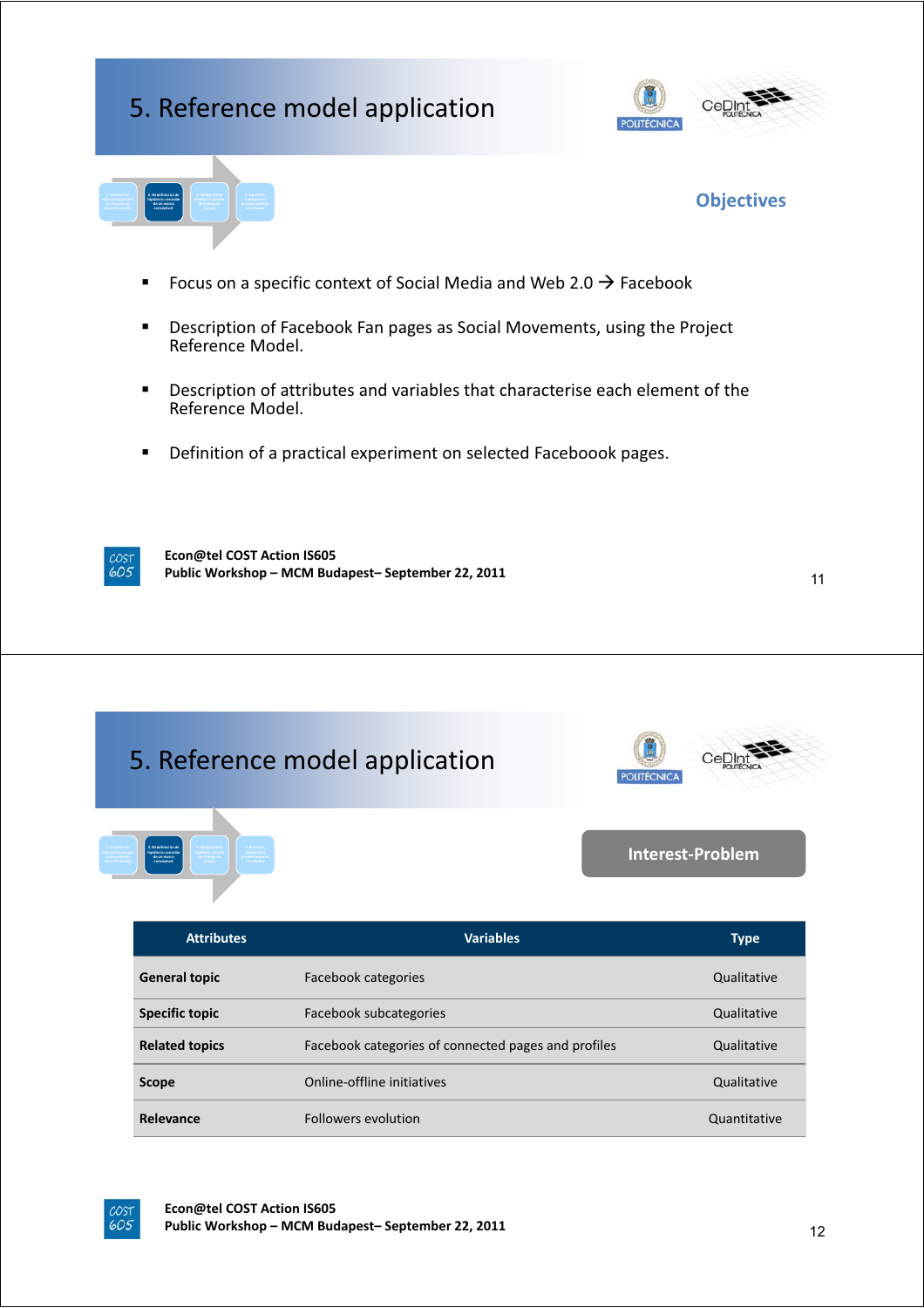### 5. Reference model application



**Objectives**



- Focus on a specific context of Social Media and Web 2.0  $\rightarrow$  Facebook
- **Description of Facebook Fan pages as Social Movements, using the Project** Reference Model.
- Description of attributes and variables that characterise each element of the Reference Model.
- **Definition of a practical experiment on selected Faceboook pages.**

 $605$ 

**Econ@tel COST Action IS605 Public Workshop – MCM Budapest– September 22, 2011**

11

# 5. Reference model application



**2. Redefinición de hipótesis: creación de un marco conceptual**

 $I$ **nterest-Problem** 

| <b>Attributes</b>     | <b>Variables</b>                                    | <b>Type</b>  |
|-----------------------|-----------------------------------------------------|--------------|
| <b>General topic</b>  | Facebook categories                                 | Qualitative  |
| <b>Specific topic</b> | Facebook subcategories                              | Qualitative  |
| <b>Related topics</b> | Facebook categories of connected pages and profiles | Qualitative  |
| <b>Scope</b>          | Online-offline initiatives                          | Qualitative  |
| Relevance             | <b>Followers evolution</b>                          | Quantitative |

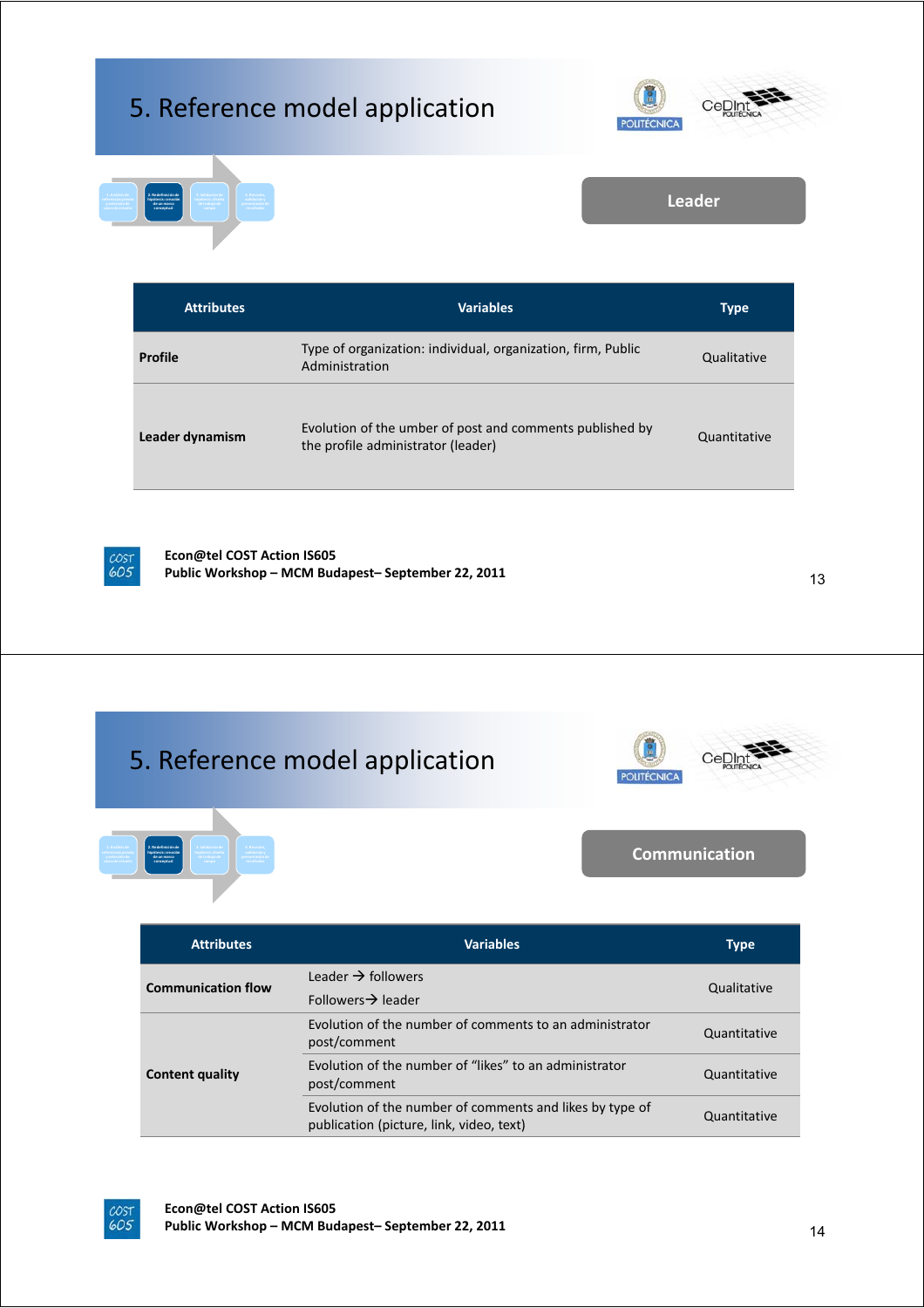# 5. Reference model application





**Leader**

| <b>Attributes</b> | <b>Variables</b>                                                                               | <b>Type</b>  |
|-------------------|------------------------------------------------------------------------------------------------|--------------|
| Profile           | Type of organization: individual, organization, firm, Public<br>Administration                 | Qualitative  |
| Leader dynamism   | Evolution of the umber of post and comments published by<br>the profile administrator (leader) | Quantitative |



COST<br>605

**Econ@tel COST Action IS605 Public Workshop – MCM Budapest– September 22, 2011** 13

#### 5. Reference model applicationCeDlr **OLITÉCNICA Communication 2. Redefinición de hipótesis: creación de un marco conceptual**

| <b>Attributes</b>         | <b>Variables</b>                                                                                     | Type         |
|---------------------------|------------------------------------------------------------------------------------------------------|--------------|
| <b>Communication flow</b> | Leader $\rightarrow$ followers                                                                       | Qualitative  |
|                           | Followers $\rightarrow$ leader                                                                       |              |
| <b>Content quality</b>    | Evolution of the number of comments to an administrator<br>post/comment                              | Quantitative |
|                           | Evolution of the number of "likes" to an administrator<br>post/comment                               | Quantitative |
|                           | Evolution of the number of comments and likes by type of<br>publication (picture, link, video, text) | Quantitative |

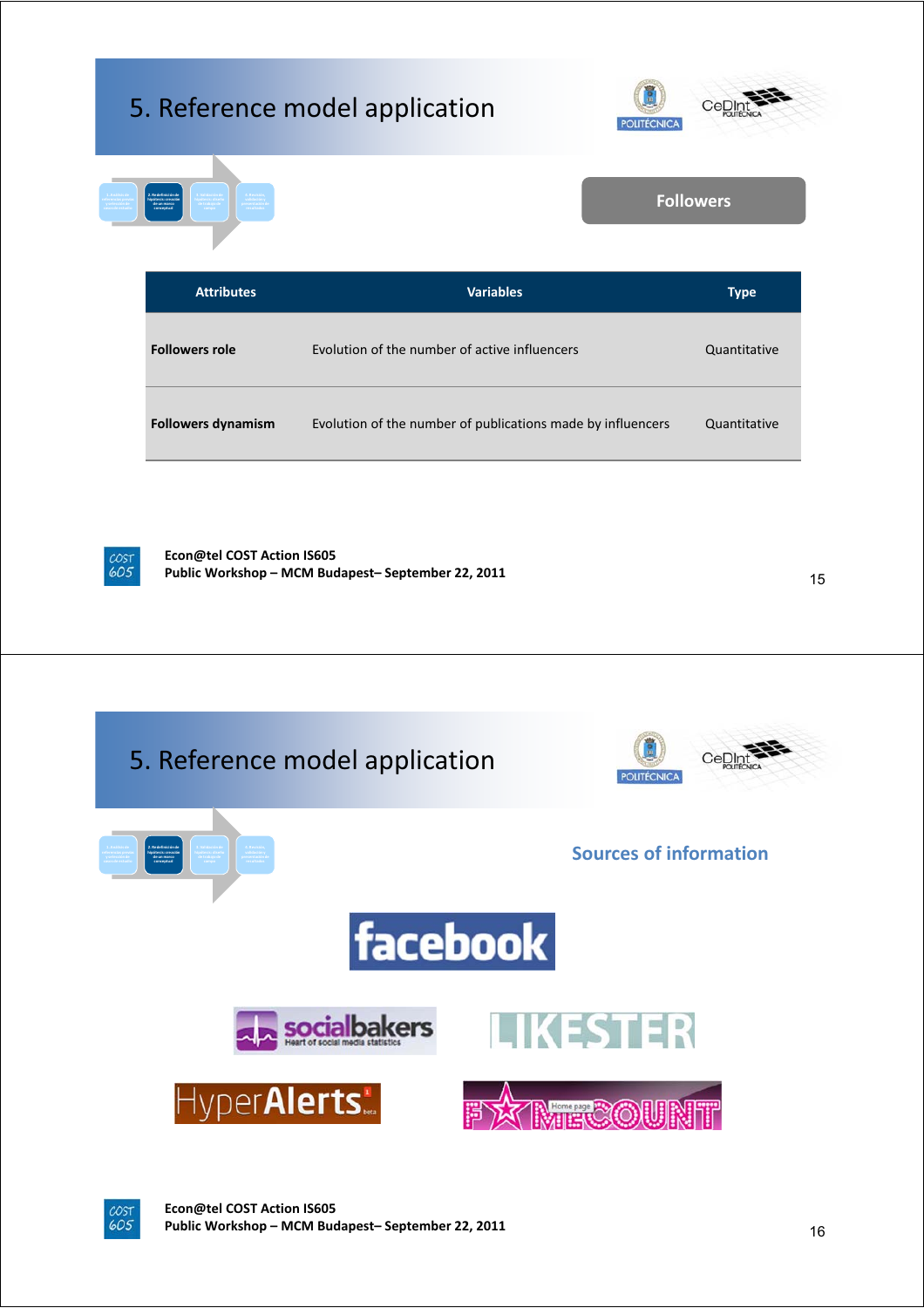|                                                                        | 5. Reference model application<br><b>POLITÉCNICA</b> | Cel              |
|------------------------------------------------------------------------|------------------------------------------------------|------------------|
| 2. Redefinición de<br>iloótesis: creación<br>de un marco<br>conceptual |                                                      | <b>Followers</b> |
|                                                                        |                                                      |                  |
| <b>Attributes</b>                                                      | <b>Variables</b>                                     | <b>Type</b>      |
| <b>Followers role</b>                                                  | Evolution of the number of active influencers        | Quantitative     |



**Econ@tel COST Action IS605 Public Workshop – MCM Budapest– September 22, 2011** 15



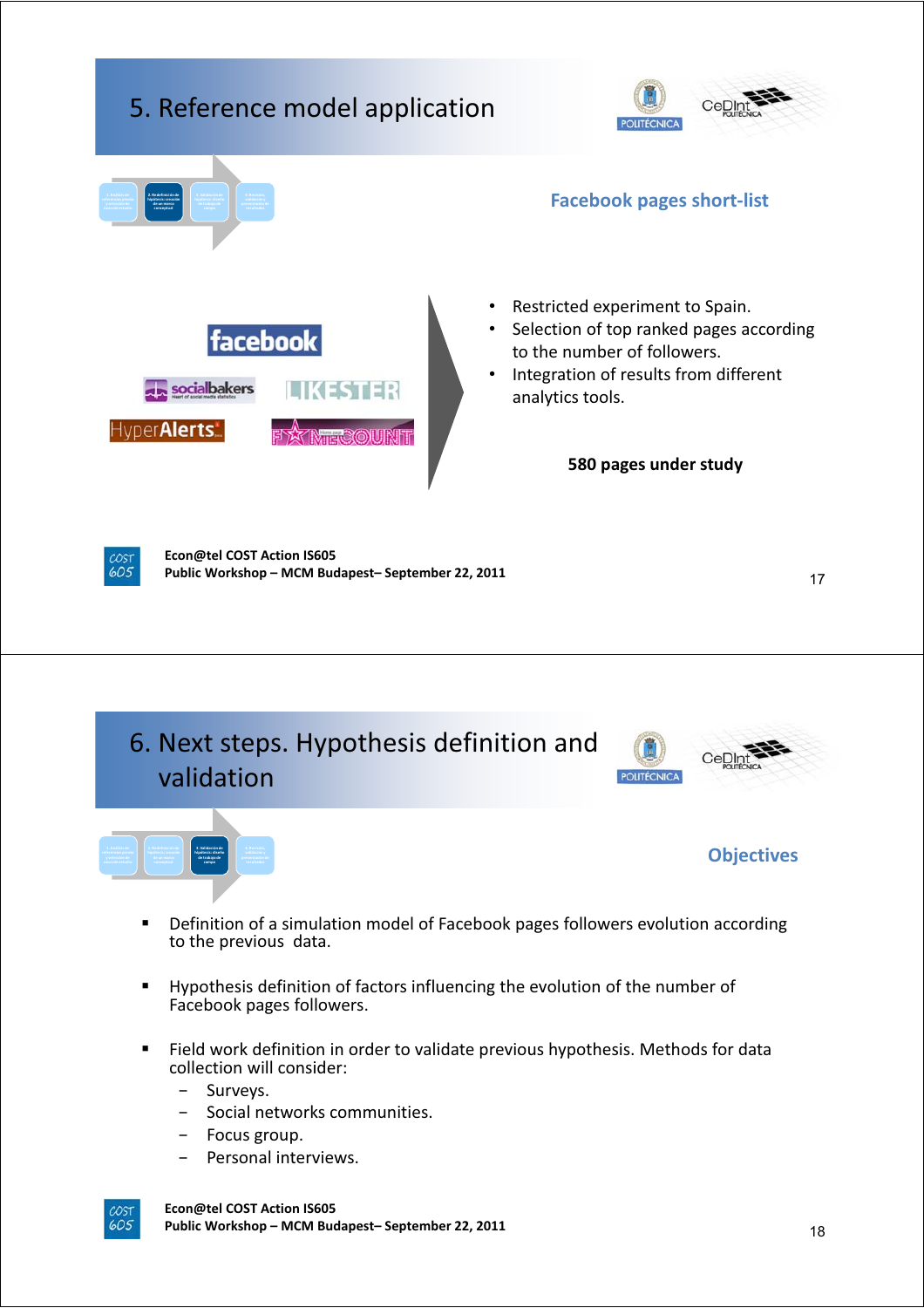





**Objectives**

- Definition of a simulation model of Facebook pages followers evolution according to the previous data.
- Hypothesis definition of factors influencing the evolution of the number of Facebook pages followers.
- Field work definition in order to validate previous hypothesis. Methods for data collection will consider:
	- Surveys.
	- Social networks communities.
	- Focus group.
	- Personal interviews.

**Econ@tel COST Action IS605 Public Workshop – MCM Budapest– September 22, 2011**